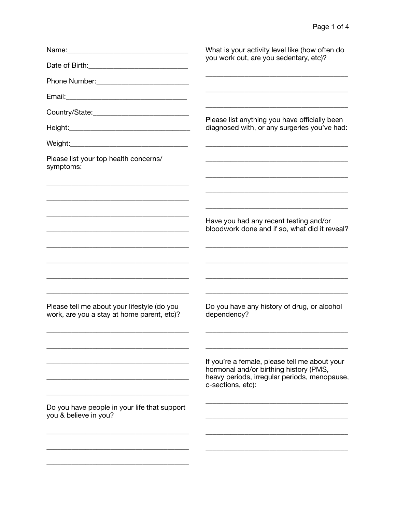|                                                                                                                                                                                                                                                                                                                                        | What is your activity level like (how often do<br>you work out, are you sedentary, etc)?                                                                     |
|----------------------------------------------------------------------------------------------------------------------------------------------------------------------------------------------------------------------------------------------------------------------------------------------------------------------------------------|--------------------------------------------------------------------------------------------------------------------------------------------------------------|
|                                                                                                                                                                                                                                                                                                                                        |                                                                                                                                                              |
|                                                                                                                                                                                                                                                                                                                                        |                                                                                                                                                              |
|                                                                                                                                                                                                                                                                                                                                        |                                                                                                                                                              |
|                                                                                                                                                                                                                                                                                                                                        |                                                                                                                                                              |
|                                                                                                                                                                                                                                                                                                                                        | Please list anything you have officially been<br>diagnosed with, or any surgeries you've had:                                                                |
|                                                                                                                                                                                                                                                                                                                                        |                                                                                                                                                              |
| Please list your top health concerns/<br>symptoms:                                                                                                                                                                                                                                                                                     |                                                                                                                                                              |
| <u> 1989 - Johann Stoff, deutscher Stoff, der Stoff, der Stoff, der Stoff, der Stoff, der Stoff, der Stoff, der S</u>                                                                                                                                                                                                                  | Have you had any recent testing and/or<br>bloodwork done and if so, what did it reveal?<br><u> 1989 - Johann Barbara, margaret eta idazlea (h. 1989).</u>    |
| <u> 1989 - Johann Stoff, deutscher Stoff, der Stoff, der Stoff, der Stoff, der Stoff, der Stoff, der Stoff, der S</u><br>and the control of the control of the control of the control of the control of the control of the control of the<br>Please tell me about your lifestyle (do you<br>work, are you a stay at home parent, etc)? | <u> 1989 - Johann Barbara, margaret eta idazlea (h. 1989).</u><br>Do you have any history of drug, or alcohol<br>dependency?                                 |
|                                                                                                                                                                                                                                                                                                                                        | If you're a female, please tell me about your<br>hormonal and/or birthing history (PMS,<br>heavy periods, irregular periods, menopause,<br>c-sections, etc): |
| Do you have people in your life that support<br>you & believe in you?                                                                                                                                                                                                                                                                  |                                                                                                                                                              |
|                                                                                                                                                                                                                                                                                                                                        |                                                                                                                                                              |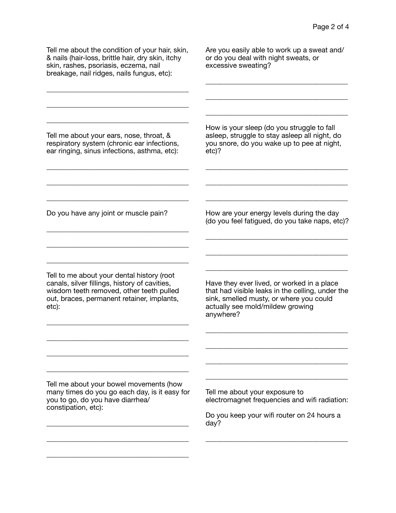Tell me about the condition of your hair, skin, & nails (hair-loss, brittle hair, dry skin, itchy skin, rashes, psoriasis, eczema, nail breakage, nail ridges, nails fungus, etc):

\_\_\_\_\_\_\_\_\_\_\_\_\_\_\_\_\_\_\_\_\_\_\_\_\_\_\_\_\_\_\_\_\_\_\_\_\_\_\_\_

\_\_\_\_\_\_\_\_\_\_\_\_\_\_\_\_\_\_\_\_\_\_\_\_\_\_\_\_\_\_\_\_\_\_\_\_\_\_\_\_

\_\_\_\_\_\_\_\_\_\_\_\_\_\_\_\_\_\_\_\_\_\_\_\_\_\_\_\_\_\_\_\_\_\_\_\_\_\_\_\_

Are you easily able to work up a sweat and/ or do you deal with night sweats, or excessive sweating?

\_\_\_\_\_\_\_\_\_\_\_\_\_\_\_\_\_\_\_\_\_\_\_\_\_\_\_\_\_\_\_\_\_\_\_\_\_\_\_\_

\_\_\_\_\_\_\_\_\_\_\_\_\_\_\_\_\_\_\_\_\_\_\_\_\_\_\_\_\_\_\_\_\_\_\_\_\_\_\_\_

\_\_\_\_\_\_\_\_\_\_\_\_\_\_\_\_\_\_\_\_\_\_\_\_\_\_\_\_\_\_\_\_\_\_\_\_\_\_\_\_

Tell me about your ears, nose, throat, & respiratory system (chronic ear infections, ear ringing, sinus infections, asthma, etc):

\_\_\_\_\_\_\_\_\_\_\_\_\_\_\_\_\_\_\_\_\_\_\_\_\_\_\_\_\_\_\_\_\_\_\_\_\_\_\_\_

\_\_\_\_\_\_\_\_\_\_\_\_\_\_\_\_\_\_\_\_\_\_\_\_\_\_\_\_\_\_\_\_\_\_\_\_\_\_\_\_

\_\_\_\_\_\_\_\_\_\_\_\_\_\_\_\_\_\_\_\_\_\_\_\_\_\_\_\_\_\_\_\_\_\_\_\_\_\_\_\_

\_\_\_\_\_\_\_\_\_\_\_\_\_\_\_\_\_\_\_\_\_\_\_\_\_\_\_\_\_\_\_\_\_\_\_\_\_\_\_\_

\_\_\_\_\_\_\_\_\_\_\_\_\_\_\_\_\_\_\_\_\_\_\_\_\_\_\_\_\_\_\_\_\_\_\_\_\_\_\_\_

\_\_\_\_\_\_\_\_\_\_\_\_\_\_\_\_\_\_\_\_\_\_\_\_\_\_\_\_\_\_\_\_\_\_\_\_\_\_\_\_

Do you have any joint or muscle pain?

How is your sleep (do you struggle to fall asleep, struggle to stay asleep all night, do you snore, do you wake up to pee at night, etc)?

\_\_\_\_\_\_\_\_\_\_\_\_\_\_\_\_\_\_\_\_\_\_\_\_\_\_\_\_\_\_\_\_\_\_\_\_\_\_\_\_

\_\_\_\_\_\_\_\_\_\_\_\_\_\_\_\_\_\_\_\_\_\_\_\_\_\_\_\_\_\_\_\_\_\_\_\_\_\_\_\_

\_\_\_\_\_\_\_\_\_\_\_\_\_\_\_\_\_\_\_\_\_\_\_\_\_\_\_\_\_\_\_\_\_\_\_\_\_\_\_\_

How are your energy levels during the day (do you feel fatigued, do you take naps, etc)?

\_\_\_\_\_\_\_\_\_\_\_\_\_\_\_\_\_\_\_\_\_\_\_\_\_\_\_\_\_\_\_\_\_\_\_\_\_\_\_\_

\_\_\_\_\_\_\_\_\_\_\_\_\_\_\_\_\_\_\_\_\_\_\_\_\_\_\_\_\_\_\_\_\_\_\_\_\_\_\_\_

\_\_\_\_\_\_\_\_\_\_\_\_\_\_\_\_\_\_\_\_\_\_\_\_\_\_\_\_\_\_\_\_\_\_\_\_\_\_\_\_

Tell to me about your dental history (root canals, silver fillings, history of cavities, wisdom teeth removed, other teeth pulled out, braces, permanent retainer, implants, etc):

\_\_\_\_\_\_\_\_\_\_\_\_\_\_\_\_\_\_\_\_\_\_\_\_\_\_\_\_\_\_\_\_\_\_\_\_\_\_\_\_

\_\_\_\_\_\_\_\_\_\_\_\_\_\_\_\_\_\_\_\_\_\_\_\_\_\_\_\_\_\_\_\_\_\_\_\_\_\_\_\_

\_\_\_\_\_\_\_\_\_\_\_\_\_\_\_\_\_\_\_\_\_\_\_\_\_\_\_\_\_\_\_\_\_\_\_\_\_\_\_\_

\_\_\_\_\_\_\_\_\_\_\_\_\_\_\_\_\_\_\_\_\_\_\_\_\_\_\_\_\_\_\_\_\_\_\_\_\_\_\_\_

Have they ever lived, or worked in a place that had visible leaks in the celling, under the sink, smelled musty, or where you could actually see mold/mildew growing anywhere?

\_\_\_\_\_\_\_\_\_\_\_\_\_\_\_\_\_\_\_\_\_\_\_\_\_\_\_\_\_\_\_\_\_\_\_\_\_\_\_\_

\_\_\_\_\_\_\_\_\_\_\_\_\_\_\_\_\_\_\_\_\_\_\_\_\_\_\_\_\_\_\_\_\_\_\_\_\_\_\_\_

\_\_\_\_\_\_\_\_\_\_\_\_\_\_\_\_\_\_\_\_\_\_\_\_\_\_\_\_\_\_\_\_\_\_\_\_\_\_\_\_

\_\_\_\_\_\_\_\_\_\_\_\_\_\_\_\_\_\_\_\_\_\_\_\_\_\_\_\_\_\_\_\_\_\_\_\_\_\_\_\_

Tell me about your bowel movements (how many times do you go each day, is it easy for you to go, do you have diarrhea/ constipation, etc):

\_\_\_\_\_\_\_\_\_\_\_\_\_\_\_\_\_\_\_\_\_\_\_\_\_\_\_\_\_\_\_\_\_\_\_\_\_\_\_\_

\_\_\_\_\_\_\_\_\_\_\_\_\_\_\_\_\_\_\_\_\_\_\_\_\_\_\_\_\_\_\_\_\_\_\_\_\_\_\_\_

\_\_\_\_\_\_\_\_\_\_\_\_\_\_\_\_\_\_\_\_\_\_\_\_\_\_\_\_\_\_\_\_\_\_\_\_\_\_\_\_

Tell me about your exposure to electromagnet frequencies and wifi radiation:

Do you keep your wifi router on 24 hours a day?

\_\_\_\_\_\_\_\_\_\_\_\_\_\_\_\_\_\_\_\_\_\_\_\_\_\_\_\_\_\_\_\_\_\_\_\_\_\_\_\_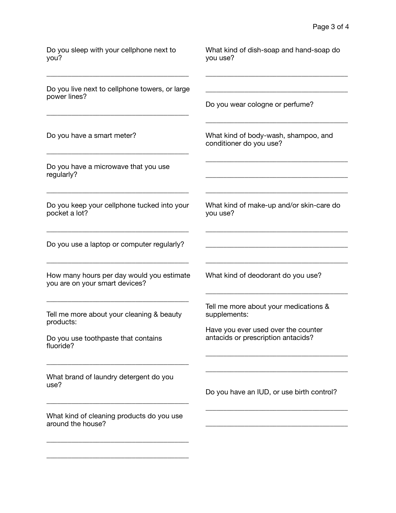| Do you sleep with your cellphone next to<br>you?                            | What kind of dish-soap and hand-soap do<br>you use?                       |
|-----------------------------------------------------------------------------|---------------------------------------------------------------------------|
| Do you live next to cellphone towers, or large<br>power lines?              | Do you wear cologne or perfume?                                           |
| Do you have a smart meter?                                                  | What kind of body-wash, shampoo, and<br>conditioner do you use?           |
| Do you have a microwave that you use<br>regularly?                          |                                                                           |
| Do you keep your cellphone tucked into your<br>pocket a lot?                | What kind of make-up and/or skin-care do<br>you use?                      |
| Do you use a laptop or computer regularly?                                  |                                                                           |
| How many hours per day would you estimate<br>you are on your smart devices? | What kind of deodorant do you use?                                        |
| Tell me more about your cleaning & beauty<br>products:                      | Tell me more about your medications &<br>supplements:                     |
| Do you use toothpaste that contains<br>fluoride?                            | Have you ever used over the counter<br>antacids or prescription antacids? |
| What brand of laundry detergent do you<br>use?                              | Do you have an IUD, or use birth control?                                 |
| What kind of cleaning products do you use<br>around the house?              |                                                                           |
|                                                                             |                                                                           |

\_\_\_\_\_\_\_\_\_\_\_\_\_\_\_\_\_\_\_\_\_\_\_\_\_\_\_\_\_\_\_\_\_\_\_\_\_\_\_\_